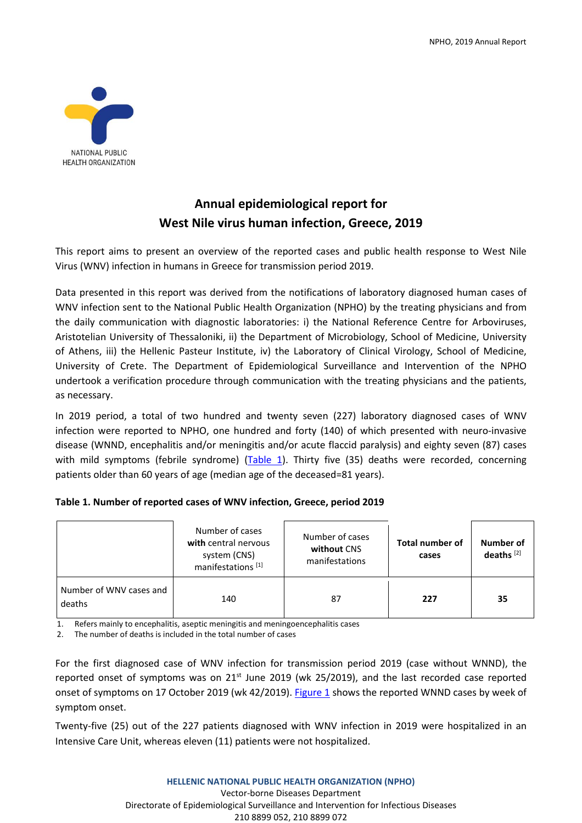

# **Annual epidemiological report for West Nile virus human infection, Greece, 2019**

This report aims to present an overview of the reported cases and public health response to West Nile Virus (WNV) infection in humans in Greece for transmission period 2019.

Data presented in this report was derived from the notifications of laboratory diagnosed human cases of WNV infection sent to the National Public Health Organization (NPHO) by the treating physicians and from the daily communication with diagnostic laboratories: i) the National Reference Centre for Arboviruses, Aristotelian University of Thessaloniki, ii) the Department of Microbiology, School of Medicine, University of Athens, iii) the Hellenic Pasteur Institute, iv) the Laboratory of Clinical Virology, School of Medicine, University of Crete. The Department of Epidemiological Surveillance and Intervention of the NPHO undertook a verification procedure through communication with the treating physicians and the patients, as necessary.

In 2019 period, a total of two hundred and twenty seven (227) laboratory diagnosed cases of WNV infection were reported to NPHO, one hundred and forty (140) of which presented with neuro-invasive disease (WNND, encephalitis and/or meningitis and/or acute flaccid paralysis) and eighty seven (87) cases with mild symptoms (febrile syndrome) (Table 1). Thirty five (35) deaths were recorded, concerning patients older than 60 years of age (median age of the deceased=81 years).

|                                   | Number of cases<br>with central nervous<br>system (CNS)<br>manifestations <sup>[1]</sup> | Number of cases<br>without CNS<br>manifestations | Total number of<br>cases | Number of<br>deaths $[2]$ |
|-----------------------------------|------------------------------------------------------------------------------------------|--------------------------------------------------|--------------------------|---------------------------|
| Number of WNV cases and<br>deaths | 140                                                                                      | 87                                               | 227                      | 35                        |

## **Table 1. Number of reported cases of WNV infection, Greece, period 2019**

1. Refers mainly to encephalitis, aseptic meningitis and meningoencephalitis cases

2. The number of deaths is included in the total number of cases

For the first diagnosed case of WNV infection for transmission period 2019 (case without WNND), the reported onset of symptoms was on 21<sup>st</sup> June 2019 (wk 25/2019), and the last recorded case reported onset of symptoms on 17 October 2019 (wk 42/2019). Figure 1 shows the reported WNND cases by week of symptom onset.

Twenty-five (25) out of the 227 patients diagnosed with WNV infection in 2019 were hospitalized in an Intensive Care Unit, whereas eleven (11) patients were not hospitalized.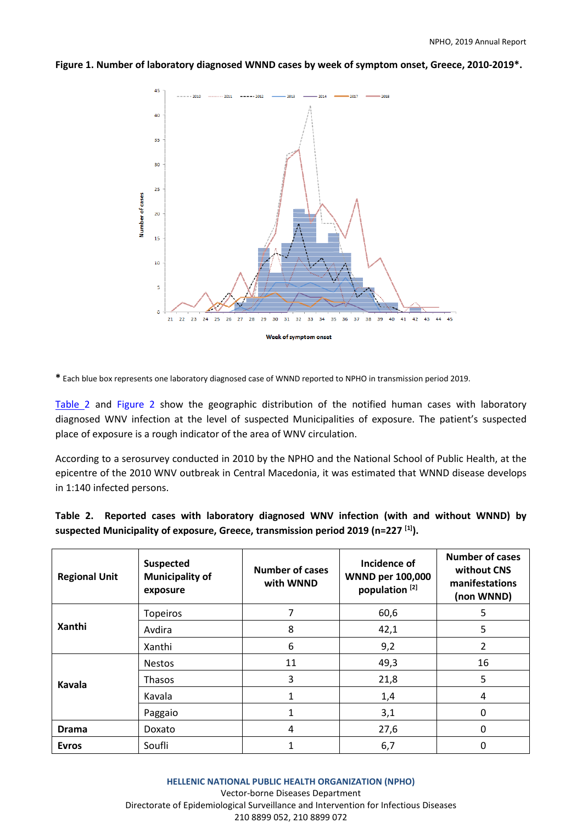#### **Figure 1. Number of laboratory diagnosed WNND cases by week of symptom onset, Greece, 2010-2019\*.**



**\*** Each blue box represents one laboratory diagnosed case of WNND reported to NPHO in transmission period 2019.

Table 2 and Figure 2 show the geographic distribution of the notified human cases with laboratory diagnosed WNV infection at the level of suspected Municipalities of exposure. The patient's suspected place of exposure is a rough indicator of the area of WNV circulation.

According to a serosurvey conducted in 2010 by the NPHO and the National School of Public Health, at the epicentre of the 2010 WNV outbreak in Central Macedonia, it was estimated that WNND disease develops in 1:140 infected persons.

|  |  | Table 2. Reported cases with laboratory diagnosed WNV infection (with and without WNND) by    |  |  |  |  |
|--|--|-----------------------------------------------------------------------------------------------|--|--|--|--|
|  |  | suspected Municipality of exposure, Greece, transmission period 2019 (n=227 <sup>[1]</sup> ). |  |  |  |  |

| <b>Regional Unit</b> | <b>Suspected</b><br><b>Municipality of</b><br>exposure | Number of cases<br>with WNND | Incidence of<br><b>WNND per 100,000</b><br>population <sup>[2]</sup> | <b>Number of cases</b><br>without CNS<br>manifestations<br>(non WNND) |
|----------------------|--------------------------------------------------------|------------------------------|----------------------------------------------------------------------|-----------------------------------------------------------------------|
|                      | <b>Topeiros</b>                                        |                              | 60,6                                                                 | 5                                                                     |
| <b>Xanthi</b>        | Avdira                                                 | 8                            | 42,1                                                                 | 5                                                                     |
|                      | Xanthi                                                 | 6                            | 9,2                                                                  | 2                                                                     |
| Kavala               | <b>Nestos</b>                                          | 11                           | 49,3                                                                 | 16                                                                    |
|                      | Thasos                                                 | 3                            | 21,8                                                                 | 5                                                                     |
|                      | Kavala                                                 | 1                            | 1,4                                                                  | 4                                                                     |
|                      | Paggaio                                                | 1                            | 3,1                                                                  | 0                                                                     |
| <b>Drama</b>         | Doxato                                                 | 4                            | 27,6                                                                 | 0                                                                     |
| <b>Evros</b>         | Soufli                                                 |                              | 6,7                                                                  | 0                                                                     |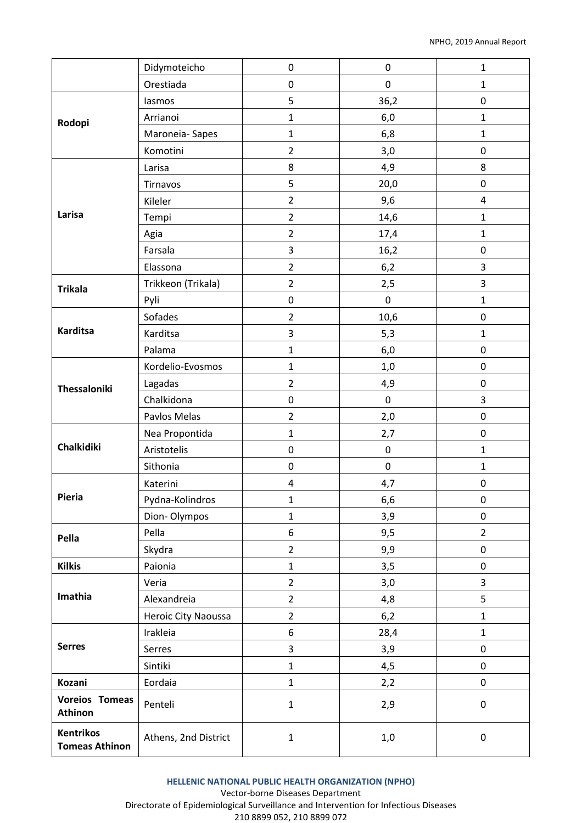|                                           | Didymoteicho         | 0              | $\pmb{0}$ | $\mathbf{1}$            |
|-------------------------------------------|----------------------|----------------|-----------|-------------------------|
|                                           | Orestiada            | 0              | 0         | $\mathbf{1}$            |
| Rodopi                                    | lasmos               | 5              | 36,2      | 0                       |
|                                           | Arrianoi             | $\mathbf{1}$   | 6,0       | $\mathbf{1}$            |
|                                           | Maroneia-Sapes       | $\mathbf{1}$   | 6,8       | $\mathbf{1}$            |
|                                           | Komotini             | $\overline{2}$ | 3,0       | 0                       |
|                                           | Larisa               | 8              | 4,9       | 8                       |
|                                           | Tirnavos             | 5              | 20,0      | $\mathbf 0$             |
|                                           | Kileler              | $\overline{2}$ | 9,6       | $\overline{\mathbf{4}}$ |
| Larisa                                    | Tempi                | $\overline{2}$ | 14,6      | $\mathbf{1}$            |
|                                           | Agia                 | $\overline{2}$ | 17,4      | $\mathbf{1}$            |
|                                           | Farsala              | 3              | 16,2      | $\pmb{0}$               |
|                                           | Elassona             | $\overline{2}$ | 6,2       | 3                       |
| <b>Trikala</b>                            | Trikkeon (Trikala)   | $\overline{2}$ | 2,5       | 3                       |
|                                           | Pyli                 | 0              | $\pmb{0}$ | $\mathbf{1}$            |
|                                           | Sofades              | $\overline{2}$ | 10,6      | 0                       |
| <b>Karditsa</b>                           | Karditsa             | 3              | 5,3       | $\mathbf{1}$            |
|                                           | Palama               | $\mathbf 1$    | 6,0       | $\pmb{0}$               |
| Thessaloniki                              | Kordelio-Evosmos     | $\mathbf{1}$   | 1,0       | $\mathbf 0$             |
|                                           | Lagadas              | $\overline{2}$ | 4,9       | 0                       |
|                                           | Chalkidona           | 0              | $\pmb{0}$ | 3                       |
|                                           | Pavlos Melas         | $\overline{2}$ | 2,0       | 0                       |
| <b>Chalkidiki</b>                         | Nea Propontida       | $\mathbf 1$    | 2,7       | $\mathbf 0$             |
|                                           | Aristotelis          | 0              | $\pmb{0}$ | $\mathbf{1}$            |
|                                           | Sithonia             | 0              | 0         | $\mathbf{1}$            |
|                                           | Katerini             | 4              | 4,7       | 0                       |
| Pieria                                    | Pydna-Kolindros      | 1              | 6,6       | 0                       |
|                                           | Dion-Olympos         | $\mathbf 1$    | 3,9       | $\pmb{0}$               |
| Pella                                     | Pella                | 6              | 9,5       | $\overline{2}$          |
|                                           | Skydra               | $\overline{2}$ | 9,9       | 0                       |
| <b>Kilkis</b>                             | Paionia              | $\mathbf 1$    | 3,5       | $\pmb{0}$               |
|                                           | Veria                | $\overline{2}$ | 3,0       | 3                       |
| Imathia                                   | Alexandreia          | $\overline{2}$ | 4,8       | 5                       |
|                                           | Heroic City Naoussa  | $\overline{2}$ | 6,2       | $\mathbf{1}$            |
| <b>Serres</b>                             | Irakleia             | 6              | 28,4      | $\mathbf{1}$            |
|                                           | Serres               | 3              | 3,9       | 0                       |
|                                           | Sintiki              | $\mathbf 1$    | 4,5       | $\pmb{0}$               |
| Kozani                                    | Eordaia              | $\mathbf 1$    | 2,2       | 0                       |
| <b>Voreios Tomeas</b><br>Athinon          | Penteli              | $\mathbf 1$    | 2,9       | 0                       |
| <b>Kentrikos</b><br><b>Tomeas Athinon</b> | Athens, 2nd District | $\mathbf 1$    | 1,0       | $\pmb{0}$               |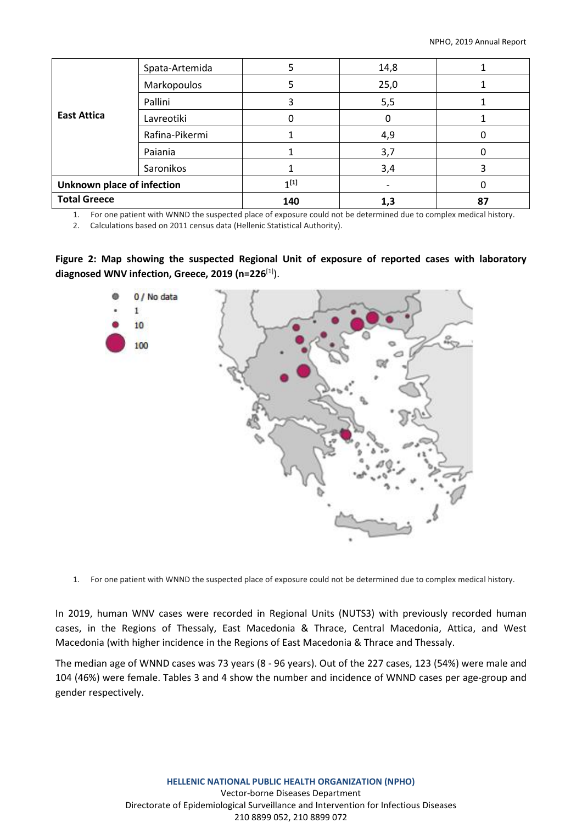| <b>East Attica</b>         | Spata-Artemida |           | 14,8 |    |
|----------------------------|----------------|-----------|------|----|
|                            | Markopoulos    |           | 25,0 |    |
|                            | Pallini        |           | 5,5  |    |
|                            | Lavreotiki     |           | 0    |    |
|                            | Rafina-Pikermi |           | 4,9  |    |
|                            | Paiania        |           | 3,7  |    |
|                            | Saronikos      |           | 3,4  |    |
| Unknown place of infection |                | $1^{[1]}$ |      |    |
| <b>Total Greece</b>        |                | 140       | 1,3  | 87 |

1. For one patient with WNND the suspected place of exposure could not be determined due to complex medical history.

2. Calculations based on 2011 census data (Hellenic Statistical Authority).

**Figure 2: Map showing the suspected Regional Unit of exposure of reported cases with laboratory diagnosed WNV infection, Greece, 2019 (n=226**[1]).



1. For one patient with WNND the suspected place of exposure could not be determined due to complex medical history.

In 2019, human WNV cases were recorded in Regional Units (NUTS3) with previously recorded human cases, in the Regions of Thessaly, East Macedonia & Thrace, Central Macedonia, Attica, and West Macedonia (with higher incidence in the Regions of East Macedonia & Thrace and Thessaly.

The median age of WNND cases was 73 years (8 - 96 years). Out of the 227 cases, 123 (54%) were male and 104 (46%) were female. Tables 3 and 4 show the number and incidence of WNND cases per age-group and gender respectively.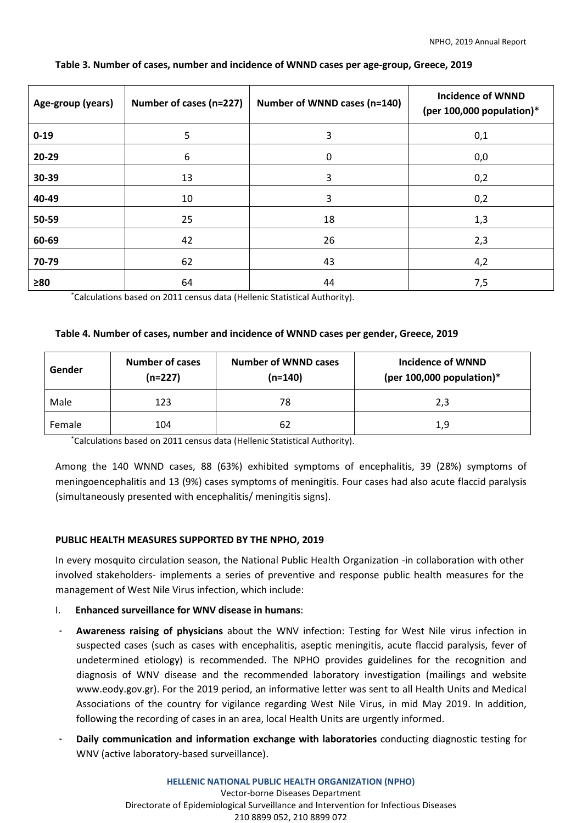| Age-group (years) | Number of cases (n=227) | Number of WNND cases (n=140) | <b>Incidence of WNND</b><br>(per 100,000 population)* |
|-------------------|-------------------------|------------------------------|-------------------------------------------------------|
| $0 - 19$          | 5                       | 3                            | 0,1                                                   |
| 20-29             | 6                       | 0                            | 0,0                                                   |
| 30-39             | 13                      | 3                            | 0,2                                                   |
| 40-49             | 10                      | 3                            | 0,2                                                   |
| 50-59             | 25                      | 18                           | 1,3                                                   |
| 60-69             | 42                      | 26                           | 2,3                                                   |
| 70-79             | 62                      | 43                           | 4,2                                                   |
| $\geq 80$         | 64                      | 44                           | 7,5                                                   |

#### **Table 3. Number of cases, number and incidence of WNND cases per age-group, Greece, 2019**

\*Calculations based on 2011 census data (Hellenic Statistical Authority).

#### **Table 4. Number of cases, number and incidence of WNND cases per gender, Greece, 2019**

| Gender | <b>Number of cases</b><br>$(n=227)$ | <b>Number of WNND cases</b><br>$(n=140)$ | Incidence of WNND<br>(per 100,000 population) $*$ |
|--------|-------------------------------------|------------------------------------------|---------------------------------------------------|
| Male   | 123                                 | 78                                       | 2,3                                               |
| Female | 104                                 | 62                                       | 1,9                                               |

\*Calculations based on 2011 census data (Hellenic Statistical Authority).

Among the 140 WNND cases, 88 (63%) exhibited symptoms of encephalitis, 39 (28%) symptoms of meningoencephalitis and 13 (9%) cases symptoms of meningitis. Four cases had also acute flaccid paralysis (simultaneously presented with encephalitis/ meningitis signs).

### **PUBLIC HEALTH MEASURES SUPPORTED BY THE NPHO, 2019**

In every mosquito circulation season, the National Public Health Organization -in collaboration with other involved stakeholders- implements a series of preventive and response public health measures for the management of West Nile Virus infection, which include:

- I. **Enhanced surveillance for WNV disease in humans**:
- ‐ **Awareness raising of physicians** about the WNV infection: Testing for West Nile virus infection in suspected cases (such as cases with encephalitis, aseptic meningitis, acute flaccid paralysis, fever of undetermined etiology) is recommended. The NPHO provides guidelines for the recognition and diagnosis of WNV disease and the recommended laboratory investigation (mailings and website [www.eody.gov.gr\)](http://www.eody.gov.gr/). For the 2019 period, an informative letter was sent to all Health Units and Medical Associations of the country for vigilance regarding West Nile Virus, in mid May 2019. In addition, following the recording of cases in an area, local Health Units are urgently informed.
- ‐ **Daily communication and information exchange with laboratories** conducting diagnostic testing for WNV (active laboratory-based surveillance).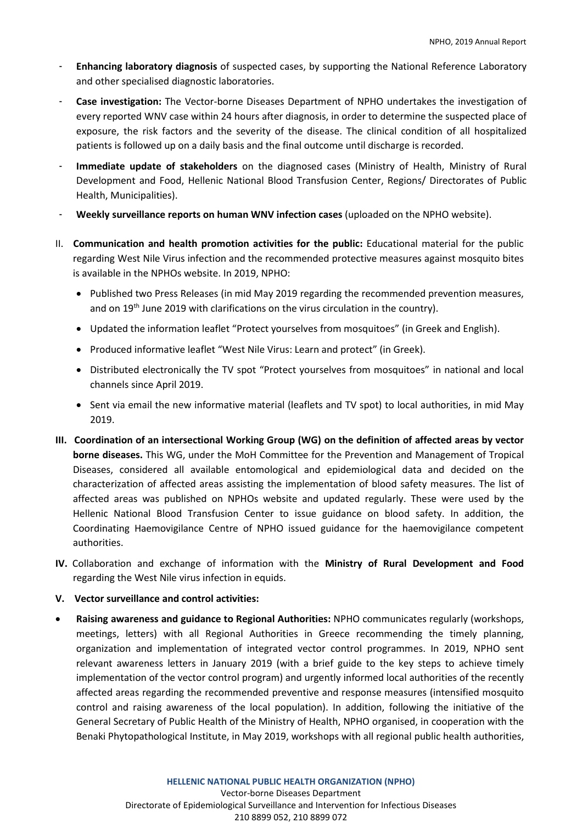- ‐ **Enhancing laboratory diagnosis** of suspected cases, by supporting the National Reference Laboratory and other specialised diagnostic laboratories.
- ‐ **Case investigation:** The Vector-borne Diseases Department of NPHO undertakes the investigation of every reported WNV case within 24 hours after diagnosis, in order to determine the suspected place of exposure, the risk factors and the severity of the disease. The clinical condition of all hospitalized patients is followed up on a daily basis and the final outcome until discharge is recorded.
- ‐ **Immediate update of stakeholders** on the diagnosed cases (Ministry of Health, Ministry of Rural Development and Food, Hellenic National Blood Transfusion Center, Regions/ Directorates of Public Health, Municipalities).
- ‐ **Weekly surveillance reports on human WNV infection cases** (uploaded on the NPHO website).
- II. **Communication and health promotion activities for the public:** Educational material for the public regarding West Nile Virus infection and the recommended protective measures against mosquito bites is available in the NPHOs website. In 2019, NPHO:
	- Published two Press Releases (in mid May 2019 regarding the recommended prevention measures, and on 19<sup>th</sup> June 2019 with clarifications on the virus circulation in the country).
	- Updated the information leaflet "Protect yourselves from mosquitoes" (in Greek and English).
	- Produced informative leaflet "West Nile Virus: Learn and protect" (in Greek).
	- Distributed electronically the TV spot "Protect yourselves from mosquitoes" in national and local channels since April 2019.
	- Sent via email the new informative material (leaflets and TV spot) to local authorities, in mid May 2019.
- **III. Coordination of an intersectional Working Group (WG) on the definition of affected areas by vector borne diseases.** This WG, under the MoH Committee for the Prevention and Management of Tropical Diseases, considered all available entomological and epidemiological data and decided on the characterization of affected areas assisting the implementation of blood safety measures. The list of affected areas was published on NPHOs website and updated regularly. These were used by the Hellenic National Blood Transfusion Center to issue guidance on blood safety. In addition, the Coordinating Haemovigilance Centre of NPHO issued guidance for the haemovigilance competent authorities.
- **IV.** Collaboration and exchange of information with the **Ministry of Rural Development and Food** regarding the West Nile virus infection in equids.
- **V. Vector surveillance and control activities:**
- **Raising awareness and guidance to Regional Authorities:** NPHO communicates regularly (workshops, meetings, letters) with all Regional Authorities in Greece recommending the timely planning, organization and implementation of integrated vector control programmes. In 2019, NPHO sent relevant awareness letters in January 2019 (with a brief guide to the key steps to achieve timely implementation of the vector control program) and urgently informed local authorities of the recently affected areas regarding the recommended preventive and response measures (intensified mosquito control and raising awareness of the local population). In addition, following the initiative of the General Secretary of Public Health of the Ministry of Health, NPHO organised, in cooperation with the Benaki Phytopathological Institute, in May 2019, workshops with all regional public health authorities,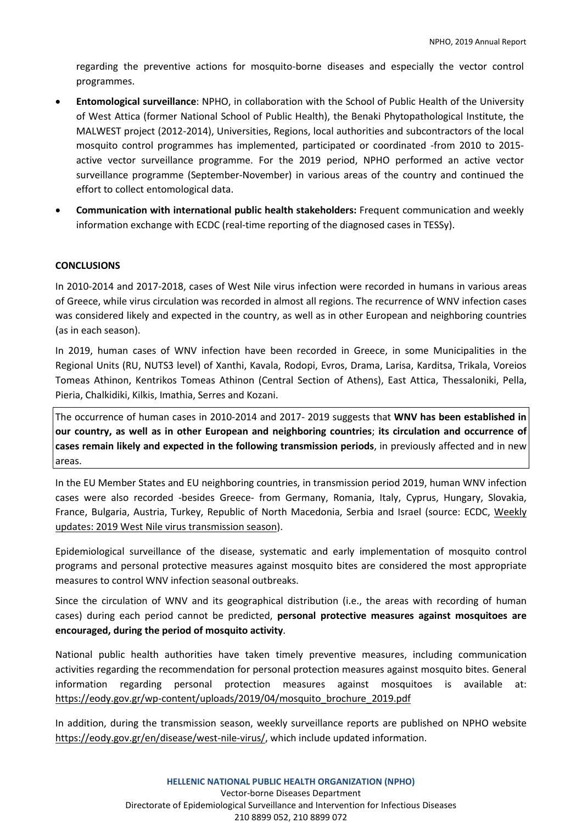regarding the preventive actions for mosquito-borne diseases and especially the vector control programmes.

- **Entomological surveillance**: NPHO, in collaboration with the School of Public Health of the University of West Attica (former National School of Public Health), the Benaki Phytopathological Institute, the MALWEST project (2012-2014), Universities, Regions, local authorities and subcontractors of the local mosquito control programmes has implemented, participated or coordinated -from 2010 to 2015 active vector surveillance programme. For the 2019 period, NPHO performed an active vector surveillance programme (September-November) in various areas of the country and continued the effort to collect entomological data.
- **Communication with international public health stakeholders:** Frequent communication and weekly information exchange with ECDC (real-time reporting of the diagnosed cases in TESSy).

#### **CONCLUSIONS**

In 2010-2014 and 2017-2018, cases of West Nile virus infection were recorded in humans in various areas of Greece, while virus circulation was recorded in almost all regions. The recurrence of WNV infection cases was considered likely and expected in the country, as well as in other European and neighboring countries (as in each season).

In 2019, human cases of WNV infection have been recorded in Greece, in some Municipalities in the Regional Units (RU, NUTS3 level) of Xanthi, Kavala, Rodopi, Evros, Drama, Larisa, Karditsa, Trikala, Voreios Tomeas Athinon, Kentrikos Tomeas Athinon (Central Section of Athens), East Attica, Thessaloniki, Pella, Pieria, Chalkidiki, Kilkis, Imathia, Serres and Kozani.

The occurrence of human cases in 2010-2014 and 2017- 2019 suggests that **WNV has been established in our country, as well as in other European and neighboring countries**; **its circulation and occurrence of cases remain likely and expected in the following transmission periods**, in previously affected and in new areas.

In the EU Member States and EU neighboring countries, in transmission period 2019, human WNV infection cases were also recorded -besides Greece- from Germany, Romania, Italy, Cyprus, Hungary, Slovakia, France, Bulgaria, Austria, Turkey, Republic of North Macedonia, Serbia and Israel (source: ECDC, [Weekly](https://ecdc.europa.eu/en/west-nile-fever/surveillance-and-disease-data/disease-data-ecdc) updates: 2019 West Nile virus [transmission](https://ecdc.europa.eu/en/west-nile-fever/surveillance-and-disease-data/disease-data-ecdc) season).

Epidemiological surveillance of the disease, systematic and early implementation of mosquito control programs and personal protective measures against mosquito bites are considered the most appropriate measures to control WNV infection seasonal outbreaks.

Since the circulation of WNV and its geographical distribution (i.e., the areas with recording of human cases) during each period cannot be predicted, **personal protective measures against mosquitoes are encouraged, during the period of mosquito activity**.

National public health authorities have taken timely preventive measures, including communication activities regarding the recommendation for personal protection measures against mosquito bites. General information regarding personal protection measures against mosquitoes is available at: [https://eody.gov.gr/wp-content/uploads/2019/04/mosquito\\_brochure\\_2019.pdf](https://eody.gov.gr/wp-content/uploads/2019/04/mosquito_brochure_2019.pdf)

In addition, during the transmission season, weekly surveillance reports are published on NPHO website [https://eody.gov.gr/en/disease/west-nile-virus/,](https://eody.gov.gr/en/disease/west-nile-virus/) which include updated information.